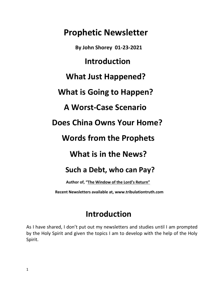# **Prophetic Newsletter**

 **By John Shorey 01-23-2021 Introduction What Just Happened? What is Going to Happen? A Worst-Case Scenario Does China Owns Your Home? Words from the Prophets What is in the News? Such a Debt, who can Pay?** 

 **Author of, "The Window of the Lord's Return"** 

 **Recent Newsletters available at, [www.tribulationtruth.com](http://www.tribulationtruth.com/)**

# **Introduction**

As I have shared, I don't put out my newsletters and studies until I am prompted by the Holy Spirit and given the topics I am to develop with the help of the Holy Spirit.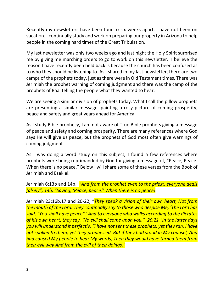Recently my newsletters have been four to six weeks apart. I have not been on vacation. I continually study and work on preparing our property in Arizona to help people in the coming hard times of the Great Tribulation.

My last newsletter was only two weeks ago and last night the Holy Spirit surprised me by giving me marching orders to go to work on this newsletter. I believe the reason I have recently been held back is because the church has been confused as to who they should be listening to. As I shared in my last newsletter, there are two camps of the prophets today, just as there were in Old Testament times. There was Jerimiah the prophet warning of coming judgment and there was the camp of the prophets of Baal telling the people what they wanted to hear.

We are seeing a similar division of prophets today. What I call the pillow prophets are presenting a similar message, painting a rosy picture of coming prosperity, peace and safety and great years ahead for America.

As I study Bible prophecy, I am not aware of True Bible prophets giving a message of peace and safety and coming prosperity. There are many references where God says He will give us peace, but the prophets of God most often give warnings of coming judgment.

As I was doing a word study on this subject, I found a few references where prophets were being reprimanded by God for giving a message of, "Peace, Peace. When there is no peace." Below I will share some of these verses from the Book of Jerimiah and Ezekiel.

### Jerimiah 6:13b and 14b, *"And from the prophet even to the priest, everyone deals falsely", 14b, "Saying, 'Peace, peace!' When there is no peace!*

Jerimiah 23:16b,17 and 20-22, "*They speak a vision of their own heart, Not from the mouth of the Lord. They continually say to those who despise Me, 'The Lord has said, "You shall have peace" ' And to everyone who walks according to the dictates of his own heart, they say, 'No evil shall come upon you." 20,21 "In the latter days you will understand it perfectly. "I have not sent these prophets, yet they ran. I have not spoken to them, yet they prophesied. But if they had stood in My counsel, And had caused My people to hear My words, Then they would have turned them from their evil way And from the evil of their doings."*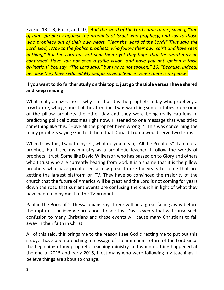Ezekiel 13:1-3, 6b -7, and 10, *"And the word of the Lord came to me, saying, "Son of man, prophecy against the prophets of Israel who prophecy, and say to those who prophecy out of their own heart, 'Hear the word of the Lord!" Thus says the Lord God; :Woe to the foolish prophets, who follow their own spirit and have seen nothing," But the Lord has not sent them: yet they hope that the word may be confirmed. Have you not seen a futile vision, and have you not spoken a false divination? You say, "The Lord says," but I have not spoken." 10, "Because, indeed, because they have seduced My people saying, 'Peace' when there is no peace".*

### **If you want to do further study on this topic, just go the Bible verses I have shared and keep reading**.

What really amazes me is, why is it that it is the prophets today who prophecy a rosy future, who get most of the attention. I was watching some u-tubes from some of the pillow prophets the other day and they were being really cautious in predicting political outcomes right now. I listened to one message that was titled something like this. "Have all the prophet been wrong?" This was concerning the many prophets saying God told them that Donald Trump would serve two terms.

When I saw this, I said to myself, what do you mean, "All the Prophets", I am not a prophet, but I see my ministry as a prophetic teacher. I follow the words of prophets I trust. Some like David Wilkerson who has passed on to Glory and others who I trust who are currently hearing from God. It is a shame that it is the pillow prophets who have prophesied a rosy great future for years to come that are getting the largest platform on TV. They have so convinced the majority of the church that the future of America will be great and the Lord is not coming for years down the road that current events are confusing the church in light of what they have been told by most of the TV prophets.

Paul in the Book of 2 Thessalonians says there will be a great falling away before the rapture. I believe we are about to see Last Day's events that will cause such confusion to many Christians and these events will cause many Christians to fall away in their faith in Christ.

All of this said, this brings me to the reason I see God directing me to put out this study. I have been preaching a message of the imminent return of the Lord since the beginning of my prophetic teaching ministry and when nothing happened at the end of 2015 and early 2016, I lost many who were following my teachings. I believe things are about to change.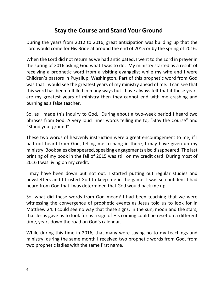### **Stay the Course and Stand Your Ground**

During the years from 2012 to 2016, great anticipation was building up that the Lord would come for His Bride at around the end of 2015 or by the spring of 2016.

When the Lord did not return as we had anticipated, I went to the Lord in prayer in the spring of 2016 asking God what I was to do. My ministry started as a result of receiving a prophetic word from a visiting evangelist while my wife and I were Children's pastors in Puyallup, Washington. Part of this prophetic word from God was that I would see the greatest years of my ministry ahead of me. I can see that this word has been fulfilled in many ways but I have always felt that if these years are my greatest years of ministry then they cannot end with me crashing and burning as a false teacher.

So, as I made this inquiry to God. During about a two-week period I heard two phrases from God. A very loud inner words telling me to, "Stay the Course" and "Stand your ground".

These two words of heavenly instruction were a great encouragement to me, if I had not heard from God, telling me to hang in there, I may have given up my ministry. Book sales disappeared, speaking engagements also disappeared. The last printing of my book in the fall of 2015 was still on my credit card. During most of 2016 I was living on my credit.

I may have been down but not out. I started putting out regular studies and newsletters and I trusted God to keep me in the game. I was so confident I had heard from God that I was determined that God would back me up.

So, what did these words from God mean? I had been teaching that we were witnessing the convergence of prophetic events as Jesus told us to look for in Matthew 24. I could see no way that these signs, in the sun, moon and the stars, that Jesus gave us to look for as a sign of His coming could be reset on a different time, years down the road on God's calendar.

While during this time in 2016, that many were saying no to my teachings and ministry, during the same month I received two prophetic words from God, from two prophetic ladies with the same first name.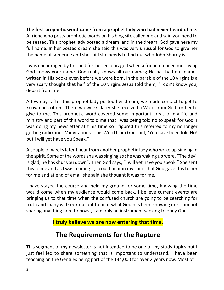**The first prophetic word came from a prophet lady who had never heard of me.** A friend who posts prophetic words on his blog site called me and said you need to be seated. This prophet lady posted a dream, and in the dream, God gave here my full name. In her posted dream she said this was very unusual for God to give her the name of someone and she said she needs to find out who John Shorey is.

I was encouraged by this and further encouraged when a friend emailed me saying God knows your name. God really knows all our names; He has had our names written in His books even before we were born. In the parable of the 10 virgins is a very scary thought that half of the 10 virgins Jesus told them, "I don't know you, depart from me."

A few days after this prophet lady posted her dream, we made contact to get to know each other. Then two weeks later she received a Word from God for her to give to me. This prophetic word covered some important areas of my life and ministry and part of this word told me that I was being told no to speak for God. I was doing my newsletter at t his time so I figured this referred to my no longer getting radio and TV invitations. This Word from God said, "You have been told No! but I will yet have you Speak."

A couple of weeks later I hear from another prophetic lady who woke up singing in the spirit. Some of the words she was singing as she was waking up were, "The devil is glad, he has shut you down". Then God says, "I will yet have you speak." She sent this to me and as I was reading it, I could hear in my spirit that God gave this to her for me and at end of email she said she thought it was for me.

I have stayed the course and held my ground for some time, knowing the time would come when my audience would come back. I believe current events are bringing us to that time when the confused church are going to be searching for truth and many will seek me out to hear what God has been showing me. I am not sharing any thing here to boast, I am only an instrument seeking to obey God.

 **I truly believe we are now entering that time.**

## **The Requirements for the Rapture**

This segment of my newsletter is not intended to be one of my study topics but I just feel led to share something that is important to understand. I have been teaching on the Gentiles being part of the 144,000 for over 2 years now. Most of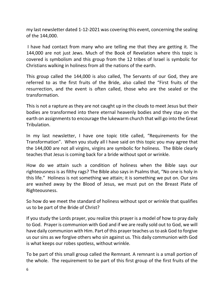my last newsletter dated 1-12-2021 was covering this event, concerning the sealing of the 144,000.

I have had contact from many who are telling me that they are getting it. The 144,000 are not just Jews. Much of the Book of Revelation where this topic is covered is symbolism and this group from the 12 tribes of Israel is symbolic for Christians walking in holiness from all the nations of the earth.

This group called the 144,000 is also called, The Servants of our God, they are referred to as the first fruits of the Bride, also called the "First fruits of the resurrection, and the event is often called, those who are the sealed or the transformation.

This is not a rapture as they are not caught up in the clouds to meet Jesus but their bodies are transformed into there eternal heavenly bodies and they stay on the earth on assignments to encourage the lukewarm church that will go into the Great Tribulation.

In my last newsletter, I have one topic title called, "Requirements for the Transformation". When you study all I have said on this topic you may agree that the 144,000 are not all virgins, virgins are symbolic for holiness. The Bible clearly teaches that Jesus is coming back for a bride without spot or wrinkle.

How do we attain such a condition of holiness when the Bible says our righteousness is as filthy rags? The Bible also says in Psalms that, "No one is holy in this life." Holiness is not something we attain; it is something we put on. Our sins are washed away by the Blood of Jesus, we must put on the Breast Plate of Righteousness.

So how do we meet the standard of holiness without spot or wrinkle that qualifies us to be part of the Bride of Christ?

If you study the Lords prayer, you realize this prayer is a model of how to pray daily to God. Prayer is communion with God and if we are really sold out to God, we will have daily communion with Him. Part of this prayer teaches us to ask God to forgive us our sins as we forgive others who sin against us. This daily communion with God is what keeps our robes spotless, without wrinkle.

To be part of this small group called the Remnant. A remnant is a small portion of the whole. The requirement to be part of this first group of the first fruits of the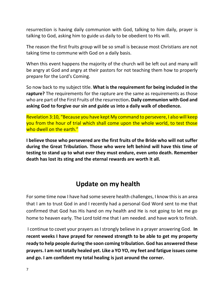resurrection is having daily communion with God, talking to him daily, prayer is talking to God, asking him to guide us daily to be obedient to His will.

The reason the first fruits group will be so small is because most Christians are not taking time to commune with God on a daily basis.

When this event happens the majority of the church will be left out and many will be angry at God and angry at their pastors for not teaching them how to properly prepare for the Lord's Coming.

So now back to my subject title. **What is the requirement for being included in the rapture?** The requirements for the rapture are the same as requirements as those who are part of the First Fruits of the resurrection**. Daily communion with God and asking God to forgive our sin and guide us into a daily walk of obedience.**

Revelation 3:10, "Because you have kept My command to persevere, I also will keep you from the hour of trial which shall come upon the whole world, to test those who dwell on the earth."

**I believe those who persevered are the first fruits of the Bride who will not suffer during the Great Tribulation. Those who were left behind will have this time of testing to stand up to what ever they must endure, even unto death. Remember death has lost its sting and the eternal rewards are worth it all.**

### **Update on my health**

For some time now I have had some severe health challenges, I know this is an area that I am to trust God in and I recently had a personal God Word sent to me that confirmed that God has His hand on my health and He is not going to let me go home to heaven early. The Lord told me that I am needed. and have work to finish.

I continue to covet your prayers as I strongly believe in a prayer answering God. **In recent weeks I have prayed for renewed strength to be able to get my property ready to help people during the soon coming tribulation. God has answered these prayers. I am not totally healed yet. Like a YO YO, my feet and fatigue issues come and go. I am confident my total healing is just around the corner.**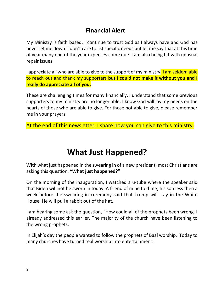### **Financial Alert**

My Ministry is faith based. I continue to trust God as I always have and God has never let me down. I don't care to list specific needs but let me say that at this time of year many end of the year expenses come due. I am also being hit with unusual repair issues.

I appreciate all who are able to give to the support of my ministry. I am seldom able to reach out and thank my supporters **but I could not make it without you and I really do appreciate all of you.**

These are challenging times for many financially, I understand that some previous supporters to my ministry are no longer able. I know God will lay my needs on the hearts of those who are able to give. For those not able to give, please remember me in your prayers

At the end of this newsletter, I share how you can give to this ministry.

# **What Just Happened?**

With what just happened in the swearing in of a new president, most Christians are asking this question. **"What just happened?"**

On the morning of the inauguration, I watched a u-tube where the speaker said that Biden will not be sworn in today. A friend of mine told me, his son less then a week before the swearing in ceremony said that Trump will stay in the White House. He will pull a rabbit out of the hat.

I am hearing some ask the question, "How could all of the prophets been wrong. I already addressed this earlier. The majority of the church have been listening to the wrong prophets.

In Elijah's day the people wanted to follow the prophets of Baal worship. Today to many churches have turned real worship into entertainment.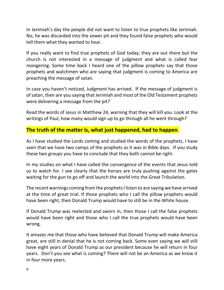In Jerimiah's day the people did not want to listen to true prophets like Jerimiah. No, he was discarded into the sewer pit and they found false prophets who would tell them what they wanted to hear.

If you really want to find true prophets of God today, they are out there but the church is not interested in a message of judgment and what is called fear mongering. Some time back I heard one of the pillow prophets say that those prophets and watchmen who are saying that judgment is coming to America are preaching the message of satan.

In case you haven't noticed, Judgment has arrived. If the message of judgment is of satan, then are you saying that Jerimiah and most of the Old Testament prophets were delivering a message from the pit?

Read the words of Jesus in Matthew 24, warning that they will kill you. Look at the writings of Paul, how many would sign up to go through all he went through?

### **The truth of the matter is, what just happened, had to happen**.

As I have studied the Lords coming and studied the words of the prophets, I have seen that we have two camps of the prophets as it was in Bible days. If you study these two groups you have to conclude that they both cannot be right.

In my studies on what I have called the convergence of the events that Jesus told us to watch for. I see clearly that the horses are truly pushing against the gates waiting for the gun to go off and launch the world into the Great Tribulation.

The recent warnings coming from the prophets I listen to are saying we have arrived at the time of great trial. If those prophets who I call the pillow prophets would have been right, then Donald Trump would have to still be in the White house.

If Donald Trump was reelected and sworn in, then those I call the false prophets would have been right and those who I call the true prophets would have been wrong.

It amazes me that those who have believed that Donald Trump will make America great, are still in denial that he is not coming back. Some even saying we will still have eight years of Donald Trump as our president because he will return in four years. Don't you see what is coming? There will not be an America as we know it in four more years.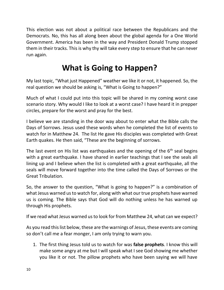This election was not about a political race between the Republicans and the Democrats. No, this has all along been about the global agenda for a One World Government. America has been in the way and President Donald Trump stopped them in their tracks. This is why thy will take every step to ensure that he can never run again.

# **What is Going to Happen?**

My last topic, "What just Happened" weather we like it or not, it happened. So, the real question we should be asking is, "What is Going to happen?"

Much of what I could put into this topic will be shared in my coming worst case scenario story. Why would I like to look at a worst case? I have heard it in prepper circles, prepare for the worst and pray for the best.

I believe we are standing in the door way about to enter what the Bible calls the Days of Sorrows. Jesus used these words when he completed the list of events to watch for in Matthew 24. The list He gave His disciples was completed with Great Earth quakes. He then said, "These are the beginning of sorrows.

The last event on His list was earthquakes and the opening of the  $6<sup>th</sup>$  seal begins with a great earthquake. I have shared in earlier teachings that I see the seals all lining up and I believe when the list is completed with a great earthquake, all the seals will move forward together into the time called the Days of Sorrows or the Great Tribulation.

So, the answer to the question, "What is going to happen?" is a combination of what Jesus warned us to watch for, along with what our true prophets have warned us is coming. The Bible says that God will do nothing unless he has warned up through His prophets.

If we read what Jesus warned us to look for from Matthew 24, what can we expect?

As you read this list below, these are the warnings of Jesus, these events are coming so don't call me a fear monger, I am only trying to warn you.

1. The first thing Jesus told us to watch for was **false prophets**. I know this will make some angry at me but I will speak what I see God showing me whether you like it or not. The pillow prophets who have been saying we will have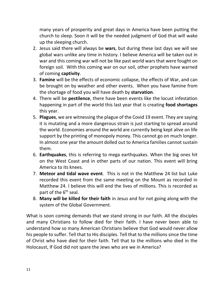many years of prosperity and great days in America have been putting the church to sleep. Soon it will be the needed judgment of God that will wake up the sleeping church.

- 2. Jesus said there will always be **wars**, but during these last days we will see global wars unlike any time in history. I believe America will be taken out in war and this coming war will not be like past world wars that were fought on foreign soil. With this coming war on our soil, other prophets have warned of coming **captivity**.
- 3. **Famine** will be the effects of economic collapse, the effects of War, and can be brought on by weather and other events. When you have famine from the shortage of food you will have death by **starvation**.
- 4. There will be **pestilence**, there have been events like the locust infestation happening in part of the world this last year that is creating **food shortages** this year.
- 5. **Plagues**, we are witnessing the plague of the Covid 19 event. They are saying it is mutating and a more dangerous strain is just starting to spread around the world. Economies around the world are currently being kept alive on life support by the printing of monopoly money. This cannot go on much longer. In almost one year the amount dolled out to America families cannot sustain them.
- 6. **Earthquakes**, this is referring to mega earthquakes. When the big ones hit on the West Coast and in other parts of our nation. This event will bring America to its knees.
- 7. **Meteor and tidal wave event**. This is not in the Matthew 24 list but Luke recorded this event from the same meeting on the Mount as recorded in Matthew 24. I believe this will end the lives of millions. This is recorded as part of the  $6<sup>th</sup>$  seal.
- 8. **Many will be killed for their faith** in Jesus and for not going along with the system of the Global Government.

What is soon coming demands that we stand strong in our faith. All the disciples and many Christians to follow died for their faith. I have never been able to understand how so many American Christians believe that God would never allow his people to suffer. Tell that to His disciples. Tell that to the millions since the time of Christ who have died for their faith. Tell that to the millions who died in the Holocaust, If God did not spare the Jews who are we in America?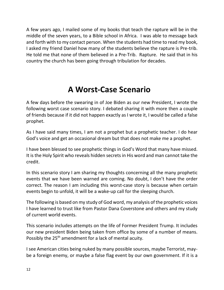A few years ago, I mailed some of my books that teach the rapture will be in the middle of the seven years, to a Bible school in Africa. I was able to message back and forth with to my contact person. When the students had time to read my book, I asked my friend Daniel how many of the students believe the rapture is Pre-trib. He told me that none of them believed in a Pre-Trib. Rapture. He said that in his country the church has been going through tribulation for decades.

## **A Worst-Case Scenario**

A few days before the swearing in of Joe Biden as our new President, I wrote the following worst case scenario story. I debated sharing it with more then a couple of friends because if it did not happen exactly as I wrote it, I would be called a false prophet.

As I have said many times, I am not a prophet but a prophetic teacher. I do hear God's voice and get an occasional dream but that does not make me a prophet.

I have been blessed to see prophetic things in God's Word that many have missed. It is the Holy Spirit who reveals hidden secrets in His word and man cannot take the credit.

In this scenario story I am sharing my thoughts concerning all the many prophetic events that we have been warned are coming. No doubt, I don't have the order correct. The reason I am including this worst-case story is because when certain events begin to unfold, it will be a wake-up call for the sleeping church.

The following is based on my study of God word, my analysis of the prophetic voices I have learned to trust like from Pastor Dana Coverstone and others and my study of current world events.

This scenario includes attempts on the life of Former President Trump. It includes our new president Biden being taken from office by some of a number of means. Possibly the 25<sup>th</sup> amendment for a lack of mental acuity.

I see American cities being nuked by many possible sources, maybe Terrorist, maybe a foreign enemy, or maybe a false flag event by our own government. If it is a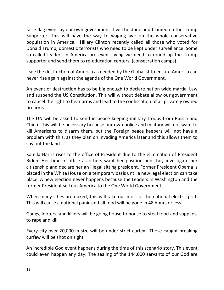false flag event by our own government it will be done and blamed on the Trump Supporter. This will pave the way to waging war on the whole conservative population in America. Hillary Clinton recently called all those who voted for Donald Trump, domestic terrorists who need to be kept under surveillance. Some so called leaders in America are even saying we need to round up the Trump supporter and send them to re-education centers, (consecration camps).

I see the destruction of America as needed by the Globalist to ensure America can never rise again against the agenda of the One World Government.

An event of destruction has to be big enough to declare nation wide martial Law and suspend the US Constitution. This will without debate allow our government to cancel the right to bear arms and lead to the confiscation of all privately owned firearms.

The UN will be asked to send in peace keeping military troops from Russia and China. This will be necessary because our own police and military will not want to kill Americans to disarm them, but the Foreign peace keepers will not have a problem with this, as they plan on invading America later and this allows them to spy out the land.

Kamila Harris rises to the office of President due to the elimination of President Biden. Her time in office as others want her position and they investigate her citizenship and declare her an illegal sitting president. Former President Obama is placed in the White House on a temporary basis until a new legal election can take place. A new election never happens because the Leaders in Washington and the former President sell out America to the One World Government.

When many cities are nuked, this will take out most of the national electric grid. This will cause a national panic and all food will be gone in 48 hours or less.

Gangs, looters, and killers will be going house to house to steal food and supplies, to rape and kill.

Every city over 20,000 in size will be under strict curfew. Those caught breaking curfew will be shot on sight.

An incredible God event happens during the time of this scenario story. This event could even happen any day. The sealing of the 144,000 servants of our God are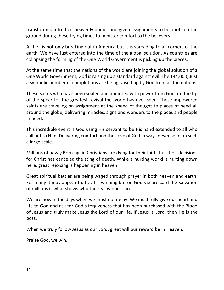transformed into their heavenly bodies and given assignments to be boots on the ground during these trying times to minister comfort to the believers.

All hell is not only breaking out in America but it is spreading to all corners of the earth. We have just entered into the time of the global solution. As countries are collapsing the forming of the One World Government is picking up the pieces.

At the same time that the nations of the world are joining the global solution of a One World Government, God is raising up a standard against evil. The 144,000, Just a symbolic number of completions are being raised up by God from all the nations.

These saints who have been sealed and anointed with power from God are the tip of the spear for the greatest revival the world has ever seen. These impowered saints are traveling on assignment at the speed of thought to places of need all around the globe, delivering miracles, signs and wonders to the places and people in need.

This incredible event is God using His servant to be His hand extended to all who call out to Him. Delivering comfort and the Love of God in ways never seen on such a large scale.

Millions of newly Born-again Christians are dying for their faith, but their decisions for Christ has canceled the sting of death. While a hurting world is hurting down here, great rejoicing is happening in heaven.

Great spiritual battles are being waged through prayer in both heaven and earth. For many it may appear that evil is winning but on God's score card the Salvation of millions is what shows who the real winners are.

We are now in the days when we must not delay. We must fully give our heart and life to God and ask for God's forgiveness that has been purchased with the Blood of Jesus and truly make Jesus the Lord of our life. If Jesus is Lord, then He is the boss.

When we truly follow Jesus as our Lord, great will our reward be in Heaven.

Praise God, we win.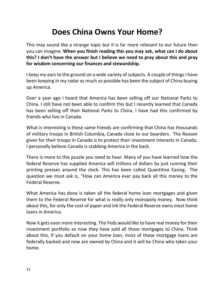# **Does China Owns Your Home?**

This may sound like a strange topic but it is far more relevant to our future then you can imagine. **When you finish reading this you may ask, what can I do about this? I don't have the answer but I believe we need to pray about this and pray for wisdom concerning our finances and stewardship.**

I keep my ears to the ground on a wide variety of subjects. A couple of things I have been keeping in my radar as much as possible has been the subject of China buying up America.

Over a year ago I heard that America has been selling off our National Parks to China. I still have not been able to confirm this but I recently learned that Canada has been selling off their National Parks to China. I have had this confirmed by friends who live in Canada.

What is interesting is these same friends are confirming that China has thousands of military troops in British Columbia, Canada close to our boarders. The Reason given for their troops in Canada is to protect their investment interests in Canada. I personally believe Canada is stabbing America in the back.

There is more to this puzzle you need to hear. Many of you have learned how the federal Reserve has supplied America will trillions of dollars by just running their printing presses around the clock. This has been called Quantitive Easing. The question we must ask is, "How can America ever pay back all this money to the Federal Reserve.

What America has done is taken all the federal home loan mortgages and given them to the Federal Reserve for what is really only monopoly money. Now think about this, for only the cost of paper and ink the Federal Reserve owns most home loans in America.

Now it gets even more interesting. The Feds would like to have real money for their investment portfolio so now they have sold all those mortgages to China. Think about this, If you default on your home loan, most of these mortgage loans are federally backed and now are owned by China and it will be China who takes your home.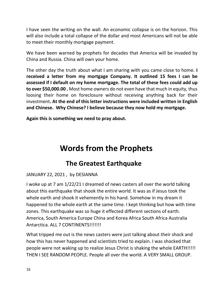I have seen the writing on the wall. An economic collapse is on the horizon. This will also include a total collapse of the dollar and most Americans will not be able to meet their monthly mortgage payment.

We have been warned by prophets for decades that America will be invaded by China and Russia. China will own your home.

The other day the truth about what I am sharing with you came close to home. **I received a letter from my mortgage Company. It outlined 15 fees I can be assessed if I default on my home mortgage. The total of these fees could add up to over \$50,000.00 .** Most home owners do not even have that much in equity, thus loosing their home on foreclosure without receiving anything back for their investment**. At the end of this letter instructions were included written in English and Chinese. Why Chinese? I believe because they now hold my mortgage.**

**Again this is something we need to pray about.** 

# **Words from the Prophets**

## **The Greatest Earthquake**

JANUARY 22, 2021 , by DESIANNA

I woke up at 7 am 1/22/21 I dreamed of news casters all over the world talking about this earthquake that shook the entire world. It was as if Jesus took the whole earth and shook it vehemently in his hand. Somehow in my dream it happened to the whole earth at the same time. I kept thinking but how with time zones. This earthquake was so huge it effected different sections of earth. America, South America Europe China and Korea Africa South Africa Australia Antarctica. ALL 7 CONTINENTS!!!!!!!!

What tripped me out is the news casters were just talking about their shock and how this has never happened and scientists tried to explain. I was shocked that people were not waking up to realize Jesus Christ is shaking the whole EARTH!!!!! THEN I SEE RANDOM PEOPLE. People all over the world. A VERY SMALL GROUP.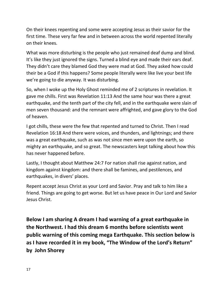On their knees repenting and some were accepting Jesus as their savior for the first time. These very far few and in between across the world repented literally on their knees.

What was more disturbing is the people who just remained deaf dump and blind. It's like they just ignored the signs. Turned a blind eye and made their ears deaf. They didn't care they blamed God they were mad at God. They asked how could their be a God if this happens? Some people literally were like live your best life we're going to die anyway. It was disturbing.

So, when I woke up the Holy Ghost reminded me of 2 scriptures in revelation. It gave me chills. First was Revelation 11:13 And the same hour was there a great earthquake, and the tenth part of the city fell, and in the earthquake were slain of men seven thousand: and the remnant were affrighted, and gave glory to the God of heaven.

I got chills, these were the few that repented and turned to Christ. Then I read Revelation 16:18 And there were voices, and thunders, and lightnings; and there was a great earthquake, such as was not since men were upon the earth, so mighty an earthquake, and so great. The newscasters kept talking about how this has never happened before.

Lastly, I thought about Matthew 24:7 For nation shall rise against nation, and kingdom against kingdom: and there shall be famines, and pestilences, and earthquakes, in divers' places.

Repent accept Jesus Christ as your Lord and Savior. Pray and talk to him like a friend. Things are going to get worse. But let us have peace in Our Lord and Savior Jesus Christ.

**Below I am sharing A dream I had warning of a great earthquake in the Northwest. I had this dream 6 months before scientists went public warning of this coming mega Earthquake. This section below is as I have recorded it in my book, "The Window of the Lord's Return" by John Shorey**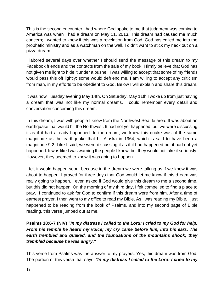This is the second encounter I had where God spoke to me that judgment was coming to America was when I had a dream on May 11, 2013. This dream had caused me much concern; I wanted to know if this was a revelation from God. God has called me into the prophetic ministry and as a watchman on the wall, I didn't want to stick my neck out on a pizza dream.

I labored several days over whether I should send the message of this dream to my Facebook friends and the contacts from the sale of my book. I firmly believe that God has not given me light to hide it under a bushel. I was willing to accept that some of my friends would pass this off lightly; some would defriend me. I am willing to accept any criticism from man, in my efforts to be obedient to God. Below I will explain and share this dream.

It was now Tuesday evening May 14th. On Saturday, May 11th I woke up from just having a dream that was not like my normal dreams, I could remember every detail and conversation concerning this dream.

In this dream, I was with people I knew from the Northwest Seattle area. It was about an earthquake that would hit the Northwest. It had not yet happened, but we were discussing it as if it had already happened. In the dream, we knew this quake was of the same magnitude as the earthquake that hit Alaska in 1964, which is said to have been a magnitude 9.2. Like I said, we were discussing it as if it had happened but it had not yet happened. It was like I was warning the people I knew, but they would not take it seriously. However, they seemed to know it was going to happen.

I felt it would happen soon, because in the dream we were talking as if we knew it was about to happen. I prayed for three days that God would let me know if this dream was really going to happen. I even asked if God would give this dream to me a second time, but this did not happen. On the morning of my third day, I felt compelled to find a place to pray. I continued to ask for God to confirm if this dream were from him. After a time of earnest prayer, I then went to my office to read my Bible. As I was reading my Bible, I just happened to be reading from the book of Psalms, and into my second page of Bible reading, this verse jumped out at me.

### **Psalms 18:6-7 (NIV)** *"In my distress I called to the Lord: I cried to my God for help. From his temple he heard my voice; my cry came before him, into his ears. The earth trembled and quaked, and the foundations of the mountains shook; they trembled because he was angry."*

This verse from Psalms was the answer to my prayers. Yes, this dream was from God. The portion of this verse that says, *"In my distress I called to the Lord: I cried to my*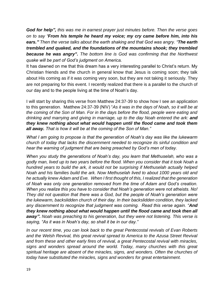*God for help", this was me in earnest prayer just minutes before. Then the verse goes on to say "From his temple he heard my voice; my cry came before him, into his ears." Then the verse talks about the earth shaking and that God was angry. "The earth trembled and quaked, and the foundations of the mountains shook; they trembled because he was angry". The bottom line is God was confirming that the Northwest quake will be part of God's judgment on America.*

It has dawned on me that this dream has a very interesting parallel to Christ's return. My Christian friends and the church in general know that Jesus is coming soon; they talk about His coming as if it was coming very soon, but they are not taking it seriously. They are not preparing for this event. I recently realized that there is a parallel to the church of our day and to the people living at the time of Noah's day.

I will start by sharing this verse from Matthew 24:37-39 to show how I see an application to this generation. Matthew 24:37-39 (NIV) "*As it was in the days of Noah, so it will be at the coming of the Son of Man. For in the days before the flood, people were eating and drinking and marrying and giving in marriage, up to the day Noah entered the ark: and they knew nothing about what would happen until the flood came and took them all away. That is how it will be at the coming of the Son of Man."*

*What I am going to propose is that the generation of Noah's day was like the lukewarm church of today that lacks the discernment needed to recognize its sinful condition and hear the warning of judgment that are being preached by God's men of today.*

*When you study the generations of Noah's day, you learn that Methuselah, who was a godly man, lived up to two years before the flood. When you consider that it took Noah a hundred years to build the ark, it would not be surprising if Methuselah actually helped Noah and his families build the ark. Now Methuselah lived to about 1000 years old and he actually knew Adam and Eve. When I first thought of this, I realized that the generation of Noah was only one generation removed from the time of Adam and God's creation. When you realize this you have to consider that Noah's generation were not atheists. No! They did not question that there was a God, but the people of Noah's generation were the lukewarm, backslidden church of their day. In their backslidden condition, they lacked any discernment to recognize that judgment was coming. Read this verse again. "And they knew nothing about what would happen until the flood came and took then all away". Noah was preaching to his generation, but they were not listening. This verse is saying, "As it was in Noah's day, so shall it be in our day."*

*In our recent time, you can look back to the great Pentecostal revivals of Evan Roberts and the Welsh Revival, this great revival spread to America to the Azusa Street Revival and from these and other early fires of revival, a great Pentecostal revival with miracles, signs and wonders spread around the world. Today, many churches with this great spiritual heritage are absent of the miracles, signs, and wonders. Often the churches of today have substituted the miracles, signs and wonders for great entertainment.*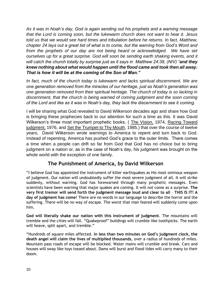*As it was in Noah's day, God is again sending out his prophets and a warning message that the Lord is coming soon, but the lukewarm church does not want to hear it. Jesus told us that we would see hard times and tribulation before he returns. In fact, Matthew, chapter 24 lays out a great list of what is to come, but the warning from God's Word and*  from the prophets of our day are not being heard or acknowledged. We have set *ourselves up for a great surprise. God will soon be sending earth shaking events, and it will catch the church totally by surprise just as it says in Matthew 24:39, (NIV) "and they knew nothing about what would happen until the flood came and took then all away. That is how it will be at the coming of the Son of Man."*

*In fact, much of the church today is lukewarm and lacks spiritual discernment. We are one generation removed from the miracles of our heritage, just as Noah's generation was one generation removed from their spiritual heritage. The church of today is so lacking in*  discernment, that the church is being warned of coming judgment and the soon coming *of the Lord and like as it was in Noah's day, they lack the discernment to see it coming.*

I will be sharing what God revealed to David Wilkerson decades ago and share how God is bringing these prophecies back to our attention for such a time as this. It was David Wilkerson's three most important prophetic books, (The Vision, 1974, Racing Toward judgment, 1976, and Set the Trumpet to Thy Mouth, 1985.) that over the course of twelve years, David Wilkerson wrote warnings to America to repent and turn back to God. Instead of repenting, America has pushed God's grace to the outer limits. There comes a time when a people can drift so far from God that God has no choice but to bring judgment on a nation or, as in the case of Noah's day, his judgment was brought on the whole world with the exception of one family.

### **The Punishment of America, by David Wilkerson**

"I believe God has appointed the instrument of killer earthquakes as His most ominous weapon of judgment. Our nation will undoubtedly suffer the most severe judgment of all. It will strike suddenly, without warning. God has forewarned through many prophetic messages. Even scientists have been warning that major quakes are coming. It will not come as a surprise. **The very first tremor will send forth the judgment message loud and clear to all** – **THIS IS IT! A day of judgment has come**! There are no words in our language to describe the horror and the suffering. There will be no way of escape. The worst that man feared will suddenly come upon him.

**God will literally shake our nation with this instrument of judgment**. The mountains will tremble and the cities will fall. "Quakeproof" buildings will crumble like toothpicks. The earth will heave, split apart, and tremble."

"Hundreds of square miles affected. **In less than two minutes on God's judgment clock, the death angel will claim the lives of multiplied thousands**, over a radius of hundreds of miles. Mountain pass roads of escape will be blocked. Water mains will crumble and break. Cars and houses will sway like toys tossed about. Dams will burst and flood tides will carry many to their doom.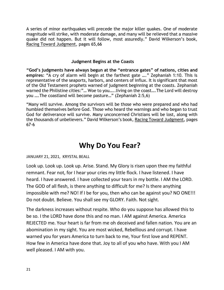A series of minor earthquakes will precede the major killer quakes. One of moderate magnitude will strike, with moderate damage, and many will be relieved that a massive quake did not happen. But it will follow, most assuredly." David Wilkerson's book, Racing Toward Judgment, pages 65,66

#### **Judgment Begins at the Coasts**

**"God's judgments have always begun at the "entrance gates" of nations, cities and empires**: "A cry of alarm will begin at the farthest gate …." Zephaniah 1:10. This is representative of the seaports, harbors, and centers of influx. It is significant that most of the Old Testament prophets warned of judgment beginning at the coasts. Zephaniah warned the Philistine cities:"… Woe to you…..living on the coast….The Lord will destroy you ….The coastland will become pasture…" (Zephaniah 2:5,6)

"Many will survive. Among the survivors will be those who were prepared and who had humbled themselves before God. Those who heard the warnings and who began to trust God for deliverance will survive. Many unconcerned Christians will be lost, along with the thousands of unbelievers." David Wilkerson's book, Racing Toward Judgment, pages 67-6

## **Why Do You Fear?**

JANUARY 21, 2021, KRYSTAL BEALL

Look up. Look up. Look up. Arise. Stand. My Glory is risen upon thee my faithful remnant. Fear not, for I hear your cries my little flock. I have listened. I have heard. I have answered. I have collected your tears in my bottle. I AM the LORD. The GOD of all flesh, is there anything to difficult for me? Is there anything impossible with me? NO! If I be for you, then who can be against you? NO ONE!!! Do not doubt. Believe. You shall see my GLORY. Faith. Not sight.

The darkness increases without respite. Who do you suppose has allowed this to be so. I the LORD have done this and no man. I AM against America. America REJECTED me. Your heart is far from me oh deceived and fallen nation. You are an abomination in my sight. You are most wicked, Rebellious and corrupt. I have warned you for years America to turn back to me, Your first love and REPENT. How few in America have done that. Joy to all of you who have. With you I AM well pleased. I AM with you.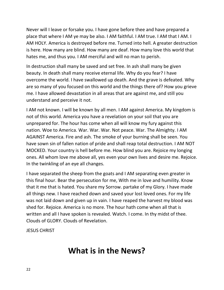Never will I leave or forsake you. I have gone before thee and have prepared a place that where I AM ye may be also. I AM faithful. I AM true. I AM that I AM. I AM HOLY. America is destroyed before me. Turned into hell. A greater destruction is here. How many are blind. How many are deaf. How many love this world that hates me, and thus you. I AM merciful and will no man to perish.

In destruction shall many be saved and set free. In ash shall many be given beauty. In death shall many receive eternal life. Why do you fear? I have overcome the world. I have swallowed up death. And the grave is defeated. Why are so many of you focused on this world and the things there of? How you grieve me. I have allowed devastation in all areas that are against me, and still you understand and perceive it not.

I AM not known. I will be known by all men. I AM against America. My kingdom is not of this world. America you have a revelation on your soil that you are unprepared for. The hour has come when all will know my fury against this nation. Woe to America. War. War. War. Not peace. War. The Almighty. I AM AGAINST America. Fire and ash. The smoke of your burning shall be seen. You have sown sin of fallen nation of pride and shall reap total destruction. I AM NOT MOCKED. Your country is hell before me. How blind you are. Rejoice my longing ones. All whom love me above all, yes even your own lives and desire me. Rejoice. In the twinkling of an eye all changes.

I have separated the sheep from the goats and I AM separating even greater in this final hour. Bear the persecution for me, With me in love and humility. Know that it me that is hated. You share my Sorrow. partake of my Glory. I have made all things new. I have reached down and saved your lost loved ones. For my life was not laid down and given up in vain. I have reaped the harvest my blood was shed for. Rejoice. America is no more. The hour hath come when all that is written and all I have spoken is revealed. Watch. I come. In thy midst of thee. Clouds of GLORY. Clouds of Revelation.

JESUS CHRIST

## **What is in the News?**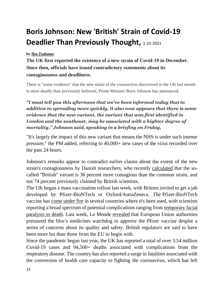# **Boris Johnson: New 'British' Strain of Covid-19 Deadlier Than Previously Thought,** 1-22-2021

#### **by** *Ilya [Tsukanov](https://sputniknews.com/authors/tsukanov_ilya/)*

**The UK first reported the existence of a new strain of Covid-19 in December. Since then, officials have issued contradictory statements about its contagiousness and deadliness.**

There is "some evidence" that the new strain of the coronavirus discovered in the UK last month is more deadly than previously believed, Prime Minister Boris Johnson has announced.

*"I must tell you this afternoon that we've been informed today that in addition to spreading more quickly, it also now appears that there is some evidence that the new variant, the variant that was first identified in London and the southeast, may be associated with a highter degree of mortality," Johnson said, speaking in a briefing on Friday.*

"It's largely the impact of this new variant that means the NHS is under such intense pressure," the PM added, referring to 40,000+ new cases of the virus recorded over the past 24 hours.

Johnson's remarks appear to contradict earlier claims about the extent of the new strain's contagiousness by Danish researchers, who recently [calculated](https://sputniknews.com/europe/202101221081846184-british-covid-19-variant-less-contagious-than-previously-reported-denmark-claims/) that the socalled "British" variant is 36 percent more contagious than the common strain, and not 74 percent previously claimed by British scientists.

The UK began a mass vaccination rollout last week, with Britons invited to get a jab developed by Pfizer-BioNTech or Oxford/AstraZeneca. The Pfizer-BioNTech vaccine has come [under](https://sputniknews.com/world/202101191081817760-as-pfizer-side-effects-emerge-why-is-the-west-still-overlooking-russian-anti-covid-vaccines/) fire in several countries where it's been used, with scientists reporting a broad spectrum of potential complications ranging from [temporary](https://sputniknews.com/world/202101191081817760-as-pfizer-side-effects-emerge-why-is-the-west-still-overlooking-russian-anti-covid-vaccines/) facial [paralysis](https://sputniknews.com/world/202101191081817760-as-pfizer-side-effects-emerge-why-is-the-west-still-overlooking-russian-anti-covid-vaccines/) to death. Last week, Le Monde [revealed](https://sputniknews.com/science/202101171081796150-le-monde-reveals-contents-of-pfizer-covid-vax-related-docs-stolen-from-eus-medicines-watchdog/) that European Union authorities pressured the bloc's medicines watchdog to approve the Pfizer vaccine despite a series of concerns about its quality and safety. British regulators are said to have been more lax than those from the EU to begin with.

Since the pandemic began last year, the UK has reported a total of over 3.54 million Covid-19 cases and 94,500+ deaths associated with complications from the respiratory disease. The country has also reported a surge in fatalities associated with the conversion of health care capacity to fighting the coronavirus, which has left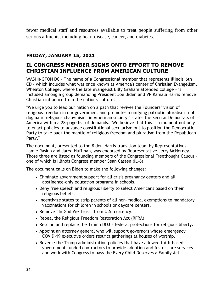fewer medical staff and resources available to treat people suffering from other serious ailments, including heart disease, cancer, and diabetes.

#### **FRIDAY, JANUARY 15, 2021**

### **IL CONGRESS MEMBER SIGNS ONTO EFFORT TO REMOVE CHRISTIAN INFLUENCE FROM AMERICAN CULTURE**

WASHINGTON DC - The name of a Congressional member that represents Illinois' 6th CD - which includes what was once known as America's center of Christian Evangelism, Wheaton College, where the late evangelist Billy Graham attended college - is included among a group demanding President Joe Biden and VP Kamala Harris remove Christian influence from the nation's culture.

"We urge you to lead our nation on a path that revives the Founders' vision of religious freedom in our government and promotes a unifying patriotic pluralism—not dogmatic religious chauvinism—in American society," states the Secular Democrats of America within a 28-page list of demands. "We believe that this is a moment not only to enact policies to advance constitutional secularism but to position the Democratic Party to take back the mantle of religious freedom and pluralism from the Republican Party."

The document, presented to the Biden-Harris transition team by Representatives Jamie Raskin and Jared Huffman, was endorsed by Representative Jerry McNerney. Those three are listed as founding members of the Congressional Freethought Caucus one of which is Illinois Congress member Sean Casten (IL-6).

The document calls on Biden to make the following changes:

- Eliminate government support for all crisis pregnancy centers and all abstinence-only education programs in schools.
- Deny free speech and religious liberty to select Americans based on their religious beliefs.
- Incentivize states to strip parents of all non-medical exemptions to mandatory vaccinations for children in schools or daycare centers.
- Remove "In God We Trust" from U.S. currency.
- Repeal the Religious Freedom Restoration Act (RFRA)
- Rescind and replace the Trump DOJ's federal protections for religious liberty.
- Appoint an attorney general who will support governors whose emergency COVID-19 executive orders restrict gatherings at houses of worship.
- Reverse the Trump administration policies that have allowed faith-based government-funded contractors to provide adoption and foster care services and work with Congress to pass the Every Child Deserves a Family Act.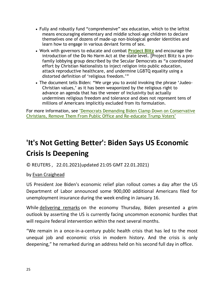- Fully and robustly fund "comprehensive" sex education, which to the leftist means encouraging elementary and middle school-age children to declare themselves one of dozens of made-up non-biological gender identities and learn how to engage in various deviant forms of sex.
- Work with governors to educate and combat **[Project Blitz](https://www.blitzwatch.org/)** and encourage the introduction of the Do No Harm Act at the state level. [Project Blitz is a profamily lobbying group described by the Secular Democrats as "a coordinated effort by Christian Nationalists to inject religion into public education, attack reproductive healthcare, and undermine LGBTQ equality using a distorted definition of 'religious freedom.'"
- The document tells Biden: "We urge you to avoid invoking the phrase 'Judeo-Christian values,' as it has been weaponized by the religious right to advance an agenda that has the veneer of inclusivity but actually undermines religious freedom and tolerance and does not represent tens of millions of Americans implicitly excluded from its formulation.

For more information, see ["Democrats Demanding Biden Clamp Down on Conservative](https://www.worldviewweekend.com/news/article/democrats-demanding-biden-clamp-down-conservative-christians-remove-them-public-office)  [Christians, Remove Them From Public Office and Re-educate Trump Voters"](https://www.worldviewweekend.com/news/article/democrats-demanding-biden-clamp-down-conservative-christians-remove-them-public-office)

# **'It's Not Getting Better': Biden Says US Economic Crisis Is Deepening**

© REUTERS , 22.01.2021(updated 21:05 GMT 22.01.2021)

### by [Evan Craighead](https://sputniknews.com/authors/craighead_evan/)

US President Joe Biden's economic relief plan rollout comes a day after the US Department of Labor announced some 900,000 additional Americans filed for unemployment insurance during the week ending in January 16.

While [delivering remarks](https://sputniknews.com/us/202101221081852723-biden-says-us-economic-crisis-is-deepening/We%20cannot%20watch%20people%20lose%20their%20jobs%20and%20we%20have%20to%20act.%20We%20have%20to%20act%20now.%20It) on the economy Thursday, Biden presented a grim outlook by asserting the US is currently facing uncommon economic hurdles that will require federal intervention within the next several months.

"We remain in a once-in-a-century public health crisis that has led to the most unequal job and economic crisis in modern history. And the crisis is only deepening," he remarked during an address held on his second full day in office.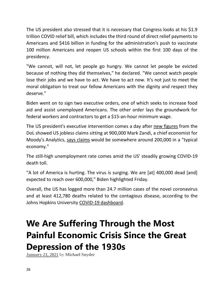The US president also stressed that it is necessary that Congress looks at his \$1.9 trillion COVID relief bill, which includes the third round of direct relief payments to Americans and \$416 billion in funding for the administration's push to vaccinate 100 million Americans and reopen US schools within the first 100 days of the presidency.

"We cannot, will not, let people go hungry. We cannot let people be evicted because of nothing they did themselves," he declared. "We cannot watch people lose their jobs and we have to act. We have to act now. It's not just to meet the moral obligation to treat our fellow Americans with the dignity and respect they deserve."

Biden went on to sign two executive orders, one of which seeks to increase food aid and assist unemployed Americans. The other order lays the groundwork for federal workers and contractors to get a \$15-an-hour minimum wage.

The US president's executive intervention comes a day after [new figures](https://sputniknews.com/us/202101221081844582-additional-900000-americans-filed-unemployment-a-week-before-biden-took-office-/) from the DoL showed US jobless claims sitting at 900,000 Mark Zandi, a chief economist for Moody's Analytics, [says claims](https://www.foxbusiness.com/economy/bidens-1-9t-coronavirus-relief-package-good-step-zandi) would be somewhere around 200,000 in a "typical economy."

The still-high unemployment rate comes amid the US' steadily growing COVID-19 death toll.

"A lot of America is hurting. The virus is surging. We are [at] 400,000 dead [and] expected to reach over 600,000," Biden highlighted Friday.

Overall, the US has logged more than 24.7 million cases of the novel coronavirus and at least 412,780 deaths related to the contagious disease, according to the Johns Hopkins University [COVID-19 dashboard.](https://gisanddata.maps.arcgis.com/apps/opsdashboard/index.html#/bda7594740fd40299423467b48e9ecf6)

# **We Are Suffering Through the Most Painful Economic Crisis Since the Great Depression of the 1930s**

**[January](http://theeconomiccollapseblog.com/we-are-suffering-through-the-most-painful-economic-crisis-since-the-great-depression-of-the-1930s/) 21, 2021 by [Michael](http://theeconomiccollapseblog.com/author/Admin/) Snyder**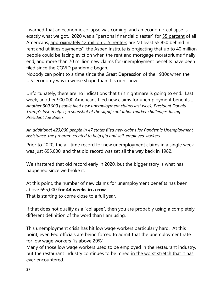I warned that an economic collapse was coming, and an economic collapse is exactly what we got. 2020 was a "personal financial disaster" for 55 [percent](http://endoftheamericandream.com/for-55-percent-of-americans-2020-has-been-a-personal-financial-disaster/) of all Americans, [approximately](https://www.poynter.org/reporting-editing/2020/millions-of-u-s-households-are-now-more-than-5000-behind-on-rent/) 12 million U.S. renters are "at least \$5,850 behind in rent and utilities payments", the Aspen Institute is projecting that up to 40 million people could be facing eviction when the rent and mortgage moratoriums finally end, and more than 70 million new claims for unemployment benefits have been filed since the COVID pandemic began.

Nobody can point to a time since the Great Depression of the 1930s when the U.S. economy was in worse shape than it is right now.

Unfortunately, there are no indications that this nightmare is going to end. Last week, another 900,000 Americans filed new claims for [unemployment](https://www.chron.com/business/article/900-000-filed-for-jobless-claims-last-week-a-15887144.php) benefits… *Another 900,000 people filed new unemployment claims last week, President Donald Trump's last in office, a snapshot of the significant labor market challenges facing President Joe Biden.*

*An additional 423,000 people in 47 states filed new claims for Pandemic Unemployment Assistance, the program created to help gig and self-employed workers.*

Prior to 2020, the all-time record for new unemployment claims in a single week was just 695,000, and that old record was set all the way back in 1982.

We shattered that old record early in 2020, but the bigger story is what has happened since we broke it.

At this point, the number of new claims for unemployment benefits has been above 695,000 **for 44 weeks in a row**.

That is starting to come close to a full year.

If that does not qualify as a "collapse", then you are probably using a completely different definition of the word than I am using.

This unemployment crisis has hit low wage workers particularly hard. At this point, even Fed officials are being forced to admit that the unemployment rate for low wage workers "is [above](https://www.cnbc.com/2021/01/13/the-unemployment-rate-is-above-20percent-for-the-lowest-paid-workers-feds-brainard-says.html) 20%".

Many of those low wage workers used to be employed in the restaurant industry, but the restaurant industry continues to be mired in the worst [stretch](https://wolfstreet.com/2021/01/21/american-restaurants-the-catastrophe-of-the-second-wave-city-by-city/) that it has ever [encountered](https://wolfstreet.com/2021/01/21/american-restaurants-the-catastrophe-of-the-second-wave-city-by-city/)…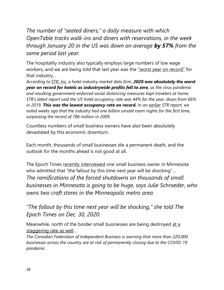*The number of "seated diners," a daily measure with which OpenTable tracks walk-ins and diners with reservations, in the week through January 20 in the US was down on average by 57% from the same period last year.*

The hospitality industry also typically employs large numbers of low wage workers, and we are being told that last year was the "worst year on [record"](https://www.zerohedge.com/political/american-hotels-experienced-worst-year-ever-zero-profit) for that industry…

*According to [STR,](https://str.com/) Inc, a hotel industry market data firm, 2020 was absolutely the worst year on record for hotels as industrywide profits fell to zero, as the virus pandemic and resulting government-enforced social distancing measures kept travelers at home. STR's latest report said the US hotel occupancy rate was 44% for the year, down from 66% in 2019. This was the lowest occupancy rate on record. In an [earlier](https://www.zerohedge.com/markets/americans-shun-hotels-national-occupancy-rate-falls) STR report, we noted weeks ago that the industry had one billion unsold room nights for the first time, surpassing the record of 786 million in 2009.*

Countless numbers of small business owners have also been absolutely devastated by this economic downturn.

Each month, thousands of small businesses die a permanent death, and the outlook for the months ahead is not good at all.

The Epoch Times recently [interviewed](https://www.theepochtimes.com/small-business-owner-fallout-by-next-year-will-be-shocking_3664727.html) one small business owner in Minnesota who admitted that "the fallout by this time next year will be shocking"… *The ramifications of the forced shutdowns on thousands of small businesses in Minnesota is going to be huge, says Julie Schroeder, who owns two craft stores in the Minneapolis metro area.*

*"The fallout by this time next year will be shocking," she told The Epoch Times on Dec. 30, 2020.*

Meanwhile, north of the border small businesses are being destroyed [at](https://ca.finance.yahoo.com/news/more-than-220000-businesses-may-disappear-due-to-covid-19-cfib-193012029.html) a [staggering](https://ca.finance.yahoo.com/news/more-than-220000-businesses-may-disappear-due-to-covid-19-cfib-193012029.html) rate as well…

*The Canadian Federation of Independent Business is warning that more than 220,000 businesses across the country are at risk of permanently closing due to the COVID-19 pandemic.*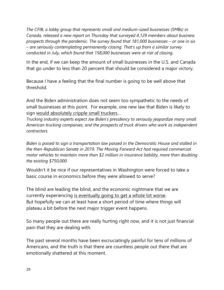*The CFIB, a lobby group that represents small and medium-sized businesses (SMBs) in Canada, released a new report on Thursday that surveyed 4,129 members about business prospects through the pandemic. The survey found that 181,000 businesses – or one in six – are seriously contemplating permanently closing. That's up from a similar survey conducted in July, which found that 158,000 businesses were at risk of closing.*

In the end, if we can keep the amount of small businesses in the U.S. and Canada that go under to less than 20 percent that should be considered a major victory.

Because I have a feeling that the final number is going to be well above that threshold.

And the Biden administration does not seem too sympathetic to the needs of small businesses at this point. For example, one new law that Biden is likely to sign would [absolutely](https://bigleaguepolitics.com/trucking-industry-leaders-expect-bidens-policies-to-crush-small-trucking-companies/) cripple small truckers…

*Trucking industry experts expect Joe Biden's presidency to seriously jeopardize many small American trucking companies, and the prospects of truck drivers who work as independent contractors.*

*Biden is poised to sign a transportation law passed in the Democratic House and stalled in the then-Republican Senate in 2019. The Moving Forward Act had required commercial motor vehicles to maintain more than \$2 million in insurance liability, more than doubling the existing \$750,000.*

Wouldn't it be nice if our representatives in Washington were forced to take a basic course in economics before they were allowed to serve?

The blind are leading the blind, and the economic nightmare that we are currently experiencing is [eventually](https://www.amazon.com/dp/B08DJ6Y81Q) going to get a whole lot worse. But hopefully we can at least have a short period of time where things will plateau a bit before the next major trigger event happens.

So many people out there are really hurting right now, and it is not just financial pain that they are dealing with.

The past several months have been excruciatingly painful for tens of millions of Americans, and the truth is that there are countless people out there that are emotionally shattered at this moment.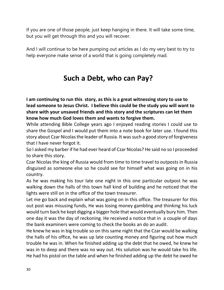If you are one of those people, just keep hanging in there. It will take some time, but you will get through this and you will recover.

And I will continue to be here pumping out articles as I do my very best to try to help everyone make sense of a world that is going completely mad.

## **Such a Debt, who can Pay?**

**I am continuing to run this story, as this is a great witnessing story to use to lead someone to Jesus Christ. I believe this could be the study you will want to share with your unsaved friends and this story and the scriptures can let them know how much God loves them and wants to forgive them.**

While attending Bible College years ago I enjoyed reading stories I could use to share the Gospel and I would put them into a note book for later use. I found this story about Czar Nicolas the leader of Russia. It was such a good story of forgiveness that I have never forgot it.

So I asked my barber if he had ever heard of Czar Nicolas? He said no so I proceeded to share this story.

Czar Nicolas the king of Russia would from time to time travel to outposts in Russia disguised as someone else so he could see for himself what was going on in his country.

As he was making his tour late one night in this one particular outpost he was walking down the halls of this town hall kind of building and he noticed that the lights were still on in the office of the town treasurer.

Let me go back and explain what was going on in this office. The treasurer for this out post was misusing funds, He was losing money gambling and thinking his luck would turn back he kept digging a bigger hole that would eventually bury him. Then one day it was the day of reckoning. He received a notice that in a couple of days the bank examiners were coming to check the books an do an audit.

He knew he was in big trouble so on this same night that the Czar would be walking the halls of his office, he was up late counting money and figuring out how much trouble he was in. When he finished adding up the debt that he owed, he knew he was in to deep and there was no way out. His solution was he would take his life. He had his pistol on the table and when he finished adding up the debt he owed he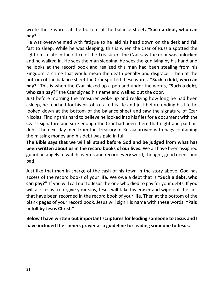wrote these words at the bottom of the balance sheet**. "Such a debt, who can pay?"** 

He was overwhelmed with fatigue so he laid his head down on the desk and fell fast to sleep. While he was sleeping, this is when the Czar of Russia spotted the light on so late in the office of the Treasurer. The Czar saw the door was unlocked and he walked in. He sees the man sleeping, he sees the gun lying by his hand and he looks at the record book and realized this man had been stealing from his kingdom, a crime that would mean the death penalty and disgrace. Then at the bottom of the balance sheet the Czar spotted these words. **"Such a debt, who can pay?"** This is when the Czar picked up a pen and under the words, **"Such a debt, who can pay?"** the Czar signed his name and walked out the door.

Just before morning the treasurer woke up and realizing how long he had been asleep, he reached for his pistol to take his life and just before ending his life he looked down at the bottom of the balance sheet and saw the signature of Czar Nicolas. Finding this hard to believe he looked into his files for a document with the Czar's signature and sure enough the Czar had been there that night and paid his debt. The next day men from the Treasury of Russia arrived with bags containing the missing money and his debt was paid in full.

**The Bible says that we will all stand before God and be judged from what has been written about us in the record books of our lives.** We all have been assigned guardian angels to watch over us and record every word, thought, good deeds and bad.

Just like that man in charge of the cash of his town in the story above, God has access of the record books of your life. We owe a debt that is **"Such a debt, who can pay?"** If you will call out to Jesus the one who died to pay for your debts. If you will ask Jesus to forgive your sins, Jesus will take his eraser and wipe out the sins that have been recorded in the record book of your life. Then at the bottom of the blank pages of your record book, Jesus will sign His name with these words. **"Paid in full by Jesus Christ."**

**Below I have written out important scriptures for leading someone to Jesus and I have included the sinners prayer as a guideline for leading someone to Jesus.**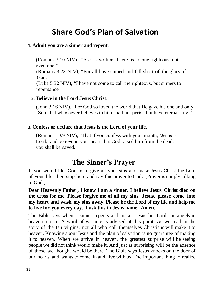# **Share God's Plan of Salvation**

#### **1. Admit you are a sinner and repent**.

(Romans 3:10 NIV), "As it is written: There is no one righteous, not even one."

(Romans 3:23 NIV), "For all have sinned and fall short of the glory of God."

(Luke 5:32 NIV), "I have not come to call the righteous, but sinners to repentance

#### **2. Believe in the Lord Jesus Christ**.

(John 3:16 NIV), "For God so loved the world that He gave his one and only Son, that whosoever believes in him shall not perish but have eternal life."

#### **3. Confess or declare that Jesus is the Lord of your life.**

(Romans 10:9 NIV), "That if you confess with your mouth, 'Jesus is Lord,' and believe in your heart that God raised him from the dead, you shall be saved.

### **The Sinner's Prayer**

If you would like God to forgive all your sins and make Jesus Christ the Lord of your life, then stop here and say this prayer to God. (Prayer is simply talking to God.)

**Dear Heavenly Father, I know I am a sinner. I believe Jesus Christ died on the cross for me. Please forgive me of all my sins. Jesus, please come into my heart and wash my sins away. Please be the Lord of my life and help me to live for you every day. I ask this in Jesus name. Amen.**

The Bible says when a sinner repents and makes Jesus his Lord, the angels in heaven rejoice. A word of warning is advised at this point. As we read in the story of the ten virgins, not all who call themselves Christians will make it to heaven. Knowing about Jesus and the plan of salvation is no guarantee of making it to heaven. When we arrive in heaven, the greatest surprise will be seeing people we did not think would make it. And just as surprising will be the absence of those we thought would be there. The Bible says Jesus knocks on the door of our hearts and wants to come in and live with us. The important thing to realize